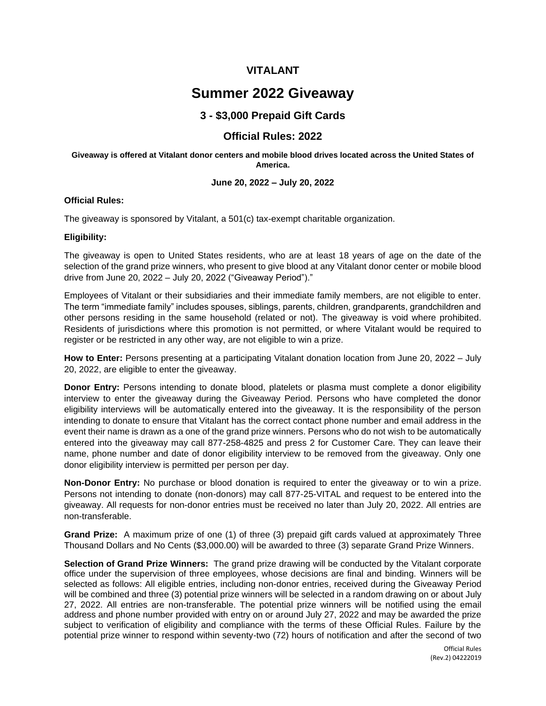# **VITALANT**

# **Summer 2022 Giveaway**

# **3 - \$3,000 Prepaid Gift Cards**

# **Official Rules: 2022**

#### **Giveaway is offered at Vitalant donor centers and mobile blood drives located across the United States of America.**

## **June 20, 2022 – July 20, 2022**

## **Official Rules:**

The giveaway is sponsored by Vitalant, a 501(c) tax-exempt charitable organization.

## **Eligibility:**

The giveaway is open to United States residents, who are at least 18 years of age on the date of the selection of the grand prize winners, who present to give blood at any Vitalant donor center or mobile blood drive from June 20, 2022 – July 20, 2022 ("Giveaway Period")."

Employees of Vitalant or their subsidiaries and their immediate family members, are not eligible to enter. The term "immediate family" includes spouses, siblings, parents, children, grandparents, grandchildren and other persons residing in the same household (related or not). The giveaway is void where prohibited. Residents of jurisdictions where this promotion is not permitted, or where Vitalant would be required to register or be restricted in any other way, are not eligible to win a prize.

**How to Enter:** Persons presenting at a participating Vitalant donation location from June 20, 2022 – July 20, 2022, are eligible to enter the giveaway.

**Donor Entry:** Persons intending to donate blood, platelets or plasma must complete a donor eligibility interview to enter the giveaway during the Giveaway Period. Persons who have completed the donor eligibility interviews will be automatically entered into the giveaway. It is the responsibility of the person intending to donate to ensure that Vitalant has the correct contact phone number and email address in the event their name is drawn as a one of the grand prize winners. Persons who do not wish to be automatically entered into the giveaway may call 877-258-4825 and press 2 for Customer Care. They can leave their name, phone number and date of donor eligibility interview to be removed from the giveaway. Only one donor eligibility interview is permitted per person per day.

**Non-Donor Entry:** No purchase or blood donation is required to enter the giveaway or to win a prize. Persons not intending to donate (non-donors) may call 877-25-VITAL and request to be entered into the giveaway. All requests for non-donor entries must be received no later than July 20, 2022. All entries are non-transferable.

**Grand Prize:** A maximum prize of one (1) of three (3) prepaid gift cards valued at approximately Three Thousand Dollars and No Cents (\$3,000.00) will be awarded to three (3) separate Grand Prize Winners.

**Selection of Grand Prize Winners:** The grand prize drawing will be conducted by the Vitalant corporate office under the supervision of three employees, whose decisions are final and binding. Winners will be selected as follows: All eligible entries, including non-donor entries, received during the Giveaway Period will be combined and three (3) potential prize winners will be selected in a random drawing on or about July 27, 2022. All entries are non-transferable. The potential prize winners will be notified using the email address and phone number provided with entry on or around July 27, 2022 and may be awarded the prize subject to verification of eligibility and compliance with the terms of these Official Rules. Failure by the potential prize winner to respond within seventy-two (72) hours of notification and after the second of two